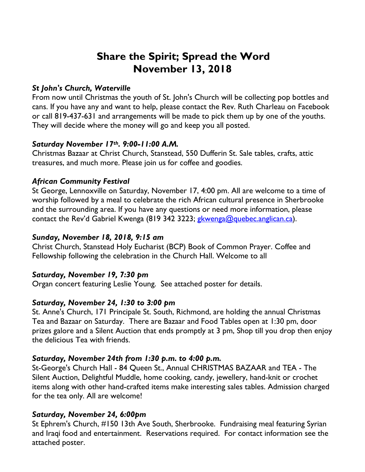# **Share the Spirit; Spread the Word November 13, 2018**

## *St John's Church, Waterville*

From now until Christmas the youth of St. John's Church will be collecting pop bottles and cans. If you have any and want to help, please contact the Rev. Ruth Charleau on Facebook or call 819-437-631 and arrangements will be made to pick them up by one of the youths. They will decide where the money will go and keep you all posted.

### *Saturday November 17th. 9:00-11:00 A.M.*

Christmas Bazaar at Christ Church, Stanstead, 550 Dufferin St. Sale tables, crafts, attic treasures, and much more. Please join us for coffee and goodies.

## *African Community Festival*

St George, Lennoxville on Saturday, November 17, 4:00 pm. All are welcome to a time of worship followed by a meal to celebrate the rich African cultural presence in Sherbrooke and the surrounding area. If you have any questions or need more information, please contact the Rev'd Gabriel Kwenga (819 342 3223; gkwenga@quebec.anglican.ca).

## *Sunday, November 18, 2018, 9:15 am*

Christ Church, Stanstead Holy Eucharist (BCP) Book of Common Prayer. Coffee and Fellowship following the celebration in the Church Hall. Welcome to all

### *Saturday, November 19, 7:30 pm*

Organ concert featuring Leslie Young. See attached poster for details.

# *Saturday, November 24, 1:30 to 3:00 pm*

St. Anne's Church, 171 Principale St. South, Richmond, are holding the annual Christmas Tea and Bazaar on Saturday. There are Bazaar and Food Tables open at 1:30 pm, door prizes galore and a Silent Auction that ends promptly at 3 pm, Shop till you drop then enjoy the delicious Tea with friends.

# *Saturday, November 24th from 1:30 p.m. to 4:00 p.m.*

St-George's Church Hall - 84 Queen St., Annual CHRISTMAS BAZAAR and TEA - The Silent Auction, Delightful Muddle, home cooking, candy, jewellery, hand-knit or crochet items along with other hand-crafted items make interesting sales tables. Admission charged for the tea only. All are welcome!

# *Saturday, November 24, 6:00pm*

St Ephrem's Church, #150 13th Ave South, Sherbrooke. Fundraising meal featuring Syrian and Iraqi food and entertainment. Reservations required. For contact information see the attached poster.